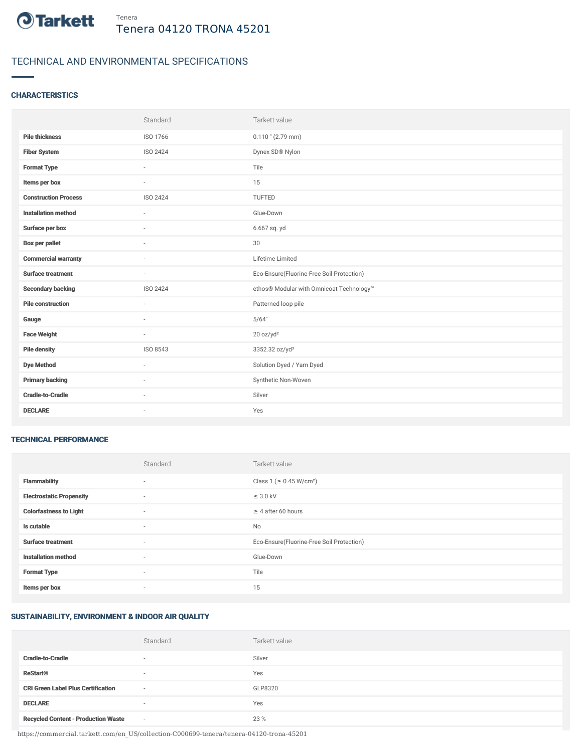

# TECHNICAL AND ENVIRONMENTAL SPECIFICATIONS

### **CHARACTERISTICS**

|                             | Standard                 | Tarkett value                             |
|-----------------------------|--------------------------|-------------------------------------------|
| <b>Pile thickness</b>       | ISO 1766                 | $0.110$ " (2.79 mm)                       |
| <b>Fiber System</b>         | <b>ISO 2424</b>          | Dynex SD® Nylon                           |
| <b>Format Type</b>          | ×                        | Tile                                      |
| Items per box               | $\sim$                   | 15                                        |
| <b>Construction Process</b> | <b>ISO 2424</b>          | TUFTED                                    |
| <b>Installation method</b>  | $\sim$                   | Glue-Down                                 |
| Surface per box             | $\sim$                   | 6.667 sq. yd                              |
| <b>Box per pallet</b>       | ×                        | 30                                        |
| <b>Commercial warranty</b>  | $\sim$                   | Lifetime Limited                          |
| <b>Surface treatment</b>    | $\sim$                   | Eco-Ensure(Fluorine-Free Soil Protection) |
| <b>Secondary backing</b>    | ISO 2424                 | ethos® Modular with Omnicoat Technology™  |
| <b>Pile construction</b>    | ×.                       | Patterned loop pile                       |
| Gauge                       | $\sim$                   | 5/64"                                     |
| <b>Face Weight</b>          | $\overline{\phantom{a}}$ | 20 oz/yd <sup>2</sup>                     |
| <b>Pile density</b>         | ISO 8543                 | 3352.32 oz/yd <sup>3</sup>                |
| <b>Dye Method</b>           | $\sim$                   | Solution Dyed / Yarn Dyed                 |
| <b>Primary backing</b>      | ٠                        | Synthetic Non-Woven                       |
| <b>Cradle-to-Cradle</b>     |                          | Silver                                    |
| <b>DECLARE</b>              | $\sim$                   | Yes                                       |

#### TECHNICAL PERFORMANCE

|                                 | Standard                 | Tarkett value                             |
|---------------------------------|--------------------------|-------------------------------------------|
| <b>Flammability</b>             | $\sim$                   | Class 1 (≥ 0.45 W/cm <sup>2</sup> )       |
| <b>Electrostatic Propensity</b> | $\sim$                   | $\leq$ 3.0 kV                             |
| <b>Colorfastness to Light</b>   | $\overline{\phantom{a}}$ | $\geq$ 4 after 60 hours                   |
| Is cutable                      | $\overline{\phantom{a}}$ | No                                        |
| <b>Surface treatment</b>        | $\overline{\phantom{a}}$ | Eco-Ensure(Fluorine-Free Soil Protection) |
| <b>Installation method</b>      | $\overline{\phantom{a}}$ | Glue-Down                                 |
| <b>Format Type</b>              | $\sim$                   | Tile                                      |
| Items per box                   | $\overline{\phantom{a}}$ | 15                                        |

## SUSTAINABILITY, ENVIRONMENT & INDOOR AIR QUALITY

|                                            | Standard                 | Tarkett value |
|--------------------------------------------|--------------------------|---------------|
| <b>Cradle-to-Cradle</b>                    | $\overline{\phantom{a}}$ | Silver        |
| <b>ReStart®</b>                            | $\overline{\phantom{a}}$ | Yes           |
| <b>CRI Green Label Plus Certification</b>  | $\sim$                   | GLP8320       |
| <b>DECLARE</b>                             | $\overline{\phantom{a}}$ | Yes           |
| <b>Recycled Content - Production Waste</b> | $\sim$                   | 23 %          |

https://commercial.tarkett.com/en\_US/collection-C000699-tenera/tenera-04120-trona-45201